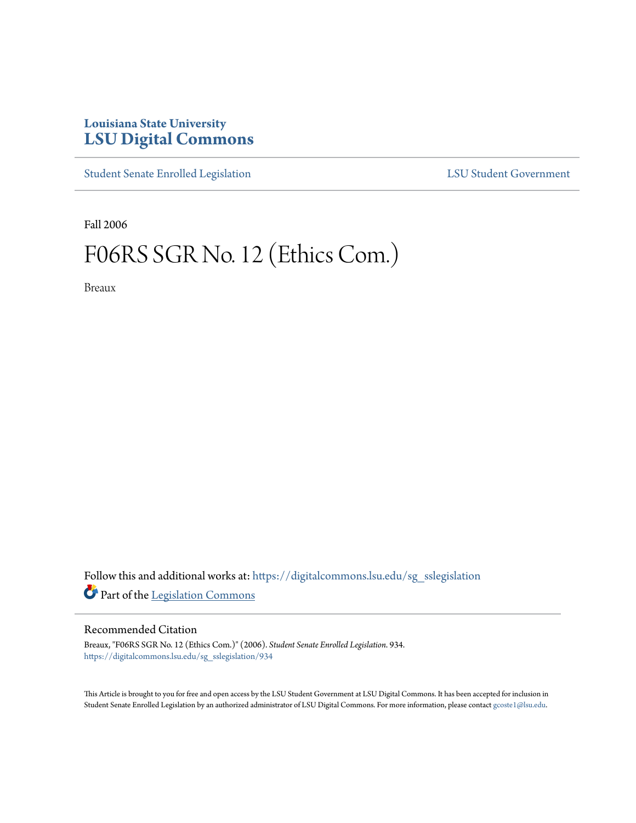## **Louisiana State University [LSU Digital Commons](https://digitalcommons.lsu.edu?utm_source=digitalcommons.lsu.edu%2Fsg_sslegislation%2F934&utm_medium=PDF&utm_campaign=PDFCoverPages)**

[Student Senate Enrolled Legislation](https://digitalcommons.lsu.edu/sg_sslegislation?utm_source=digitalcommons.lsu.edu%2Fsg_sslegislation%2F934&utm_medium=PDF&utm_campaign=PDFCoverPages) [LSU Student Government](https://digitalcommons.lsu.edu/sg?utm_source=digitalcommons.lsu.edu%2Fsg_sslegislation%2F934&utm_medium=PDF&utm_campaign=PDFCoverPages)

Fall 2006

## F06RS SGR No. 12 (Ethics Com.)

Breaux

Follow this and additional works at: [https://digitalcommons.lsu.edu/sg\\_sslegislation](https://digitalcommons.lsu.edu/sg_sslegislation?utm_source=digitalcommons.lsu.edu%2Fsg_sslegislation%2F934&utm_medium=PDF&utm_campaign=PDFCoverPages) Part of the [Legislation Commons](http://network.bepress.com/hgg/discipline/859?utm_source=digitalcommons.lsu.edu%2Fsg_sslegislation%2F934&utm_medium=PDF&utm_campaign=PDFCoverPages)

## Recommended Citation

Breaux, "F06RS SGR No. 12 (Ethics Com.)" (2006). *Student Senate Enrolled Legislation*. 934. [https://digitalcommons.lsu.edu/sg\\_sslegislation/934](https://digitalcommons.lsu.edu/sg_sslegislation/934?utm_source=digitalcommons.lsu.edu%2Fsg_sslegislation%2F934&utm_medium=PDF&utm_campaign=PDFCoverPages)

This Article is brought to you for free and open access by the LSU Student Government at LSU Digital Commons. It has been accepted for inclusion in Student Senate Enrolled Legislation by an authorized administrator of LSU Digital Commons. For more information, please contact [gcoste1@lsu.edu.](mailto:gcoste1@lsu.edu)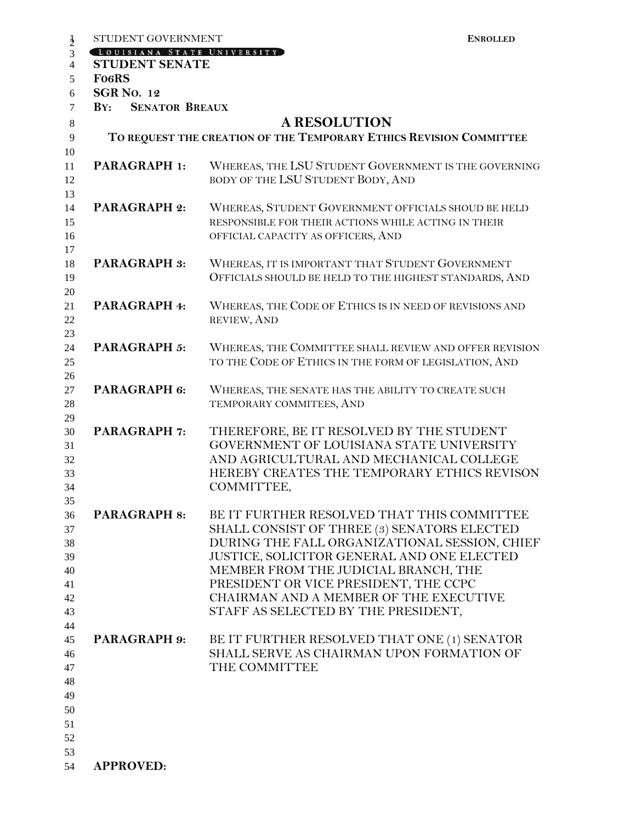| STUDENT GOVERNMENT                                  | <b>ENROLLED</b>                                                                                                                                                                                                                                                                                                                                            |
|-----------------------------------------------------|------------------------------------------------------------------------------------------------------------------------------------------------------------------------------------------------------------------------------------------------------------------------------------------------------------------------------------------------------------|
| LOUISIANA STATE UNIVERSITY<br><b>STUDENT SENATE</b> |                                                                                                                                                                                                                                                                                                                                                            |
| <b>FO6RS</b>                                        |                                                                                                                                                                                                                                                                                                                                                            |
| <b>SGR No. 12</b>                                   |                                                                                                                                                                                                                                                                                                                                                            |
| <b>SENATOR BREAUX</b><br>$\mathbf{B} \mathbf{Y}$ :  |                                                                                                                                                                                                                                                                                                                                                            |
|                                                     | <b>A RESOLUTION</b>                                                                                                                                                                                                                                                                                                                                        |
|                                                     | TO REQUEST THE CREATION OF THE TEMPORARY ETHICS REVISION COMMITTEE                                                                                                                                                                                                                                                                                         |
|                                                     |                                                                                                                                                                                                                                                                                                                                                            |
| <b>PARAGRAPH 1:</b>                                 | WHEREAS, THE LSU STUDENT GOVERNMENT IS THE GOVERNING<br>BODY OF THE LSU STUDENT BODY, AND                                                                                                                                                                                                                                                                  |
| <b>PARAGRAPH 2:</b>                                 | WHEREAS, STUDENT GOVERNMENT OFFICIALS SHOUD BE HELD<br>RESPONSIBLE FOR THEIR ACTIONS WHILE ACTING IN THEIR<br>OFFICIAL CAPACITY AS OFFICERS, AND                                                                                                                                                                                                           |
| <b>PARAGRAPH 3:</b>                                 | WHEREAS, IT IS IMPORTANT THAT STUDENT GOVERNMENT<br>OFFICIALS SHOULD BE HELD TO THE HIGHEST STANDARDS, AND                                                                                                                                                                                                                                                 |
| PARAGRAPH 4:                                        | WHEREAS, THE CODE OF ETHICS IS IN NEED OF REVISIONS AND<br>REVIEW, AND                                                                                                                                                                                                                                                                                     |
| <b>PARAGRAPH 5:</b>                                 | WHEREAS, THE COMMITTEE SHALL REVIEW AND OFFER REVISION<br>TO THE CODE OF ETHICS IN THE FORM OF LEGISLATION, AND                                                                                                                                                                                                                                            |
| PARAGRAPH 6:                                        | WHEREAS, THE SENATE HAS THE ABILITY TO CREATE SUCH<br>TEMPORARY COMMITEES, AND                                                                                                                                                                                                                                                                             |
| <b>PARAGRAPH 7:</b>                                 | THEREFORE, BE IT RESOLVED BY THE STUDENT<br>GOVERNMENT OF LOUISIANA STATE UNIVERSITY<br>AND AGRICULTURAL AND MECHANICAL COLLEGE<br>HEREBY CREATES THE TEMPORARY ETHICS REVISON<br>COMMITTEE,                                                                                                                                                               |
| <b>PARAGRAPH 8:</b>                                 | BE IT FURTHER RESOLVED THAT THIS COMMITTEE<br>SHALL CONSIST OF THREE (3) SENATORS ELECTED<br>DURING THE FALL ORGANIZATIONAL SESSION, CHIEF<br>JUSTICE, SOLICITOR GENERAL AND ONE ELECTED<br>MEMBER FROM THE JUDICIAL BRANCH, THE<br>PRESIDENT OR VICE PRESIDENT, THE CCPC<br>CHAIRMAN AND A MEMBER OF THE EXECUTIVE<br>STAFF AS SELECTED BY THE PRESIDENT, |
| <b>PARAGRAPH 9:</b>                                 | BE IT FURTHER RESOLVED THAT ONE (1) SENATOR<br>SHALL SERVE AS CHAIRMAN UPON FORMATION OF<br>THE COMMITTEE                                                                                                                                                                                                                                                  |
| <b>APPROVED:</b>                                    |                                                                                                                                                                                                                                                                                                                                                            |